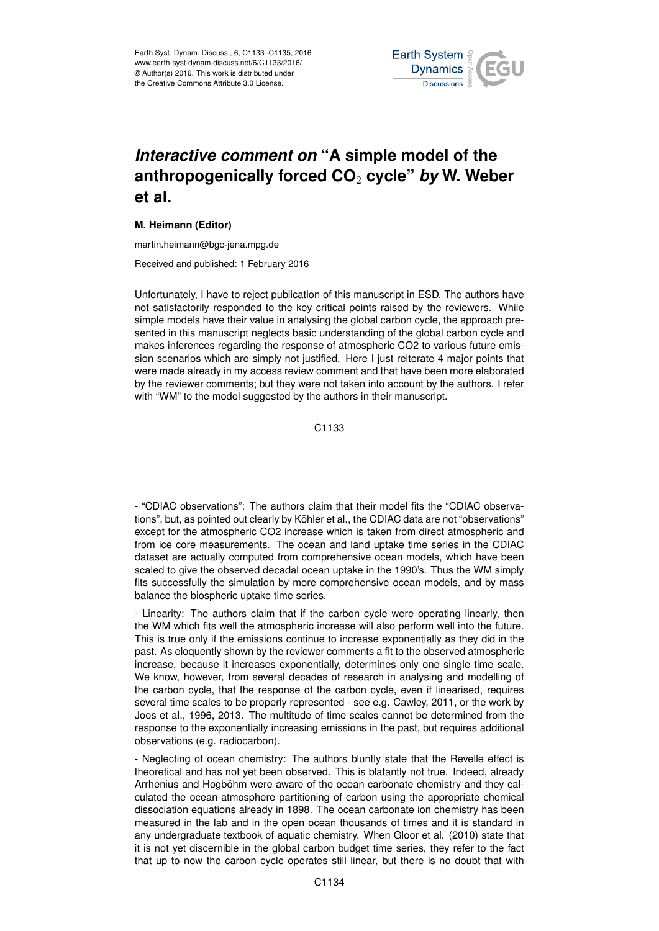

## *Interactive comment on* **"A simple model of the anthropogenically forced CO**<sup>2</sup> **cycle"** *by* **W. Weber et al.**

## **M. Heimann (Editor)**

martin.heimann@bgc-jena.mpg.de

Received and published: 1 February 2016

Unfortunately, I have to reject publication of this manuscript in ESD. The authors have not satisfactorily responded to the key critical points raised by the reviewers. While simple models have their value in analysing the global carbon cycle, the approach presented in this manuscript neglects basic understanding of the global carbon cycle and makes inferences regarding the response of atmospheric CO2 to various future emission scenarios which are simply not justified. Here I just reiterate 4 major points that were made already in my access review comment and that have been more elaborated by the reviewer comments; but they were not taken into account by the authors. I refer with "WM" to the model suggested by the authors in their manuscript.

C<sub>1133</sub>

- "CDIAC observations": The authors claim that their model fits the "CDIAC observations", but, as pointed out clearly by Köhler et al., the CDIAC data are not "observations" except for the atmospheric CO2 increase which is taken from direct atmospheric and from ice core measurements. The ocean and land uptake time series in the CDIAC dataset are actually computed from comprehensive ocean models, which have been scaled to give the observed decadal ocean uptake in the 1990's. Thus the WM simply fits successfully the simulation by more comprehensive ocean models, and by mass balance the biospheric uptake time series.

- Linearity: The authors claim that if the carbon cycle were operating linearly, then the WM which fits well the atmospheric increase will also perform well into the future. This is true only if the emissions continue to increase exponentially as they did in the past. As eloquently shown by the reviewer comments a fit to the observed atmospheric increase, because it increases exponentially, determines only one single time scale. We know, however, from several decades of research in analysing and modelling of the carbon cycle, that the response of the carbon cycle, even if linearised, requires several time scales to be properly represented - see e.g. Cawley, 2011, or the work by Joos et al., 1996, 2013. The multitude of time scales cannot be determined from the response to the exponentially increasing emissions in the past, but requires additional observations (e.g. radiocarbon).

- Neglecting of ocean chemistry: The authors bluntly state that the Revelle effect is theoretical and has not yet been observed. This is blatantly not true. Indeed, already Arrhenius and Hogböhm were aware of the ocean carbonate chemistry and they calculated the ocean-atmosphere partitioning of carbon using the appropriate chemical dissociation equations already in 1898. The ocean carbonate ion chemistry has been measured in the lab and in the open ocean thousands of times and it is standard in any undergraduate textbook of aquatic chemistry. When Gloor et al. (2010) state that it is not yet discernible in the global carbon budget time series, they refer to the fact that up to now the carbon cycle operates still linear, but there is no doubt that with